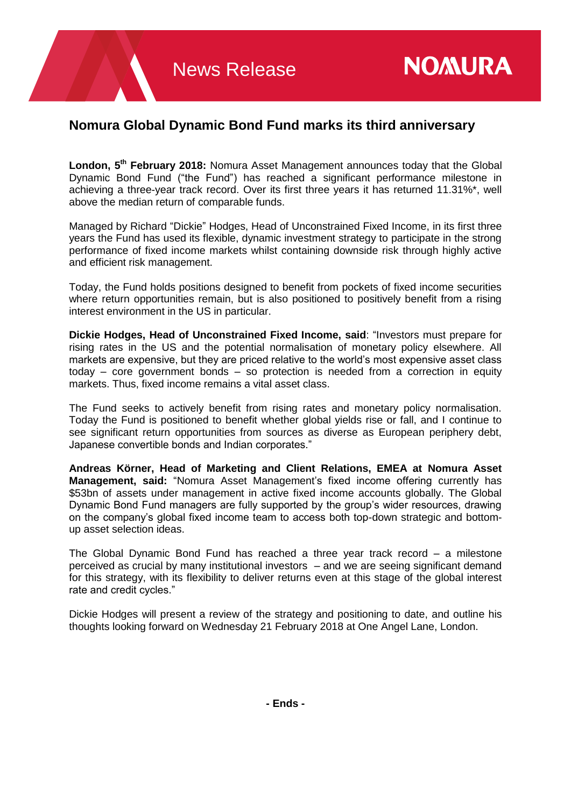## **Nomura Global Dynamic Bond Fund marks its third anniversary**

London, 5<sup>th</sup> February 2018: Nomura Asset Management announces today that the Global Dynamic Bond Fund ("the Fund") has reached a significant performance milestone in achieving a three-year track record. Over its first three years it has returned 11.31%\*, well above the median return of comparable funds.

Managed by Richard "Dickie" Hodges, Head of Unconstrained Fixed Income, in its first three years the Fund has used its flexible, dynamic investment strategy to participate in the strong performance of fixed income markets whilst containing downside risk through highly active and efficient risk management.

Today, the Fund holds positions designed to benefit from pockets of fixed income securities where return opportunities remain, but is also positioned to positively benefit from a rising interest environment in the US in particular.

**Dickie Hodges, Head of Unconstrained Fixed Income, said**: "Investors must prepare for rising rates in the US and the potential normalisation of monetary policy elsewhere. All markets are expensive, but they are priced relative to the world's most expensive asset class today – core government bonds – so protection is needed from a correction in equity markets. Thus, fixed income remains a vital asset class.

The Fund seeks to actively benefit from rising rates and monetary policy normalisation. Today the Fund is positioned to benefit whether global yields rise or fall, and I continue to see significant return opportunities from sources as diverse as European periphery debt, Japanese convertible bonds and Indian corporates."

**Andreas Körner, Head of Marketing and Client Relations, EMEA at Nomura Asset Management, said:** "Nomura Asset Management's fixed income offering currently has \$53bn of assets under management in active fixed income accounts globally. The Global Dynamic Bond Fund managers are fully supported by the group's wider resources, drawing on the company's global fixed income team to access both top-down strategic and bottomup asset selection ideas.

The Global Dynamic Bond Fund has reached a three year track record – a milestone perceived as crucial by many institutional investors – and we are seeing significant demand for this strategy, with its flexibility to deliver returns even at this stage of the global interest rate and credit cycles."

Dickie Hodges will present a review of the strategy and positioning to date, and outline his thoughts looking forward on Wednesday 21 February 2018 at One Angel Lane, London.